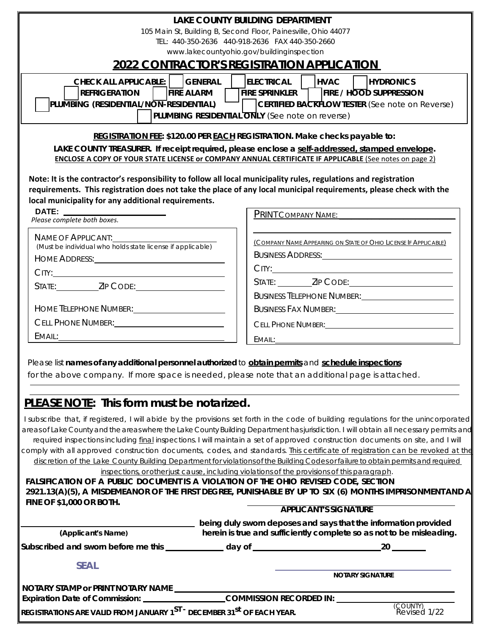| <b>LAKE COUNTY BUILDING DEPARTMENT</b><br>105 Main St, Building B, Second Floor, Painesville, Ohio 44077<br>TEL: 440-350-2636 440-918-2636 FAX 440-350-2660<br>www.lakecountyohio.gov/buildinginspection<br><b>2022 CONTRACTOR'S REGISTRATION APPLICATION</b><br>CHECK ALL APPLICABLE:   GENERAL<br> ELECTRICAL  <br><b>HVAC</b><br><b>HYDRONICS</b><br>FIRE SPRINKLER THE / HOOD SUPPRESSION<br><b>REFRIGERATION</b><br><b>FIRE ALARM</b><br>PLUMBING (RESIDENTIAL/NON-RESIDENTIAL)<br><b>CERTIFIED BACKFLOW TESTER</b> (See note on Reverse)<br>$\mathbf{1}$<br>PLUMBING RESIDENTIAL ONLY (See note on reverse)<br>REGISTRATION FEE: \$120.00 PER EACH REGISTRATION. Make checks payable to:<br>LAKE COUNTY TREASURER. If receipt required, please enclose a self-addressed, stamped envelope.<br>ENCLOSE A COPY OF YOUR STATE LICENSE or COMPANY ANNUAL CERTIFICATE IF APPLICABLE (See notes on page 2)<br>Note: It is the contractor's responsibility to follow all local municipality rules, regulations and registration<br>requirements. This registration does not take the place of any local municipal requirements, please check with the<br>local municipality for any additional requirements.<br><b>DATE:</b><br>Please complete both boxes.<br>PRINT COMPANY NAME: ________<br>NAME OF APPLICANT:<br>(COMPANY NAME APPEARING ON STATE OF OHIO LICENSE IF APPLICABLE)<br>(Must be individual who nolds state license if applicable)<br>BUSINESS FAX NUMBER: NORTH STATE STATE STATE STATE STATE STATE STATE STATE STATE STATE STATE STATE STATE STATE<br>CELL PHONE NUMBER: CELL PHONE NUMBER:<br>EMAIL:<br>Please list names of any additional personnel authorized to obtain permits and schedule inspections<br>for the above company. If more space is needed, please note that an additional page is attached.<br><b>PLEASE NOTE:</b> This form must be notarized.<br>I subscribe that, if registered, I will abide by the provisions set forth in the code of building regulations for the unincorporated<br>areas of Lake County and the areas where the Lake County Building Department hasjurisdiction. I will obtain all necessary permits and<br>required inspections including final inspections. I will maintain a set of approved construction documents on site, and I will<br>comply with all approved construction documents, codes, and standards. This certificate of registration can be revoked at the<br>discretion of the Lake County Building Department for violations of the Building Codes or failure to obtain permits and required<br>inspections, or other just cause, including violations of the provisions of this paragraph.<br>FALSIFICATION OF A PUBLIC DOCUMENT IS A VIOLATION OF THE OHIO REVISED CODE, SECTION<br>2921.13(A)(5), A MISDEMEANOR OF THE FIRST DEGREE, PUNISHABLE BY UP TO SIX (6) MONTHS IMPRISONMENT AND A<br><b>FINE OF \$1,000 OR BOTH.</b><br><b>APPLICANT'S SIGNATURE</b><br>being duly sworn deposes and says that the information provided<br>herein is true and sufficiently complete so as not to be misleading.<br>(Applicant's Name)<br><b>SEAL</b><br><b>NOTARY SIGNATURE</b><br>(COUNTY)<br>Revised 1/22<br>REGISTRATIONS ARE VALID FROM JANUARY 1ST - DECEMBER 31 <sup>st</sup> OF EACH YEAR. |  |  |  |  |
|--------------------------------------------------------------------------------------------------------------------------------------------------------------------------------------------------------------------------------------------------------------------------------------------------------------------------------------------------------------------------------------------------------------------------------------------------------------------------------------------------------------------------------------------------------------------------------------------------------------------------------------------------------------------------------------------------------------------------------------------------------------------------------------------------------------------------------------------------------------------------------------------------------------------------------------------------------------------------------------------------------------------------------------------------------------------------------------------------------------------------------------------------------------------------------------------------------------------------------------------------------------------------------------------------------------------------------------------------------------------------------------------------------------------------------------------------------------------------------------------------------------------------------------------------------------------------------------------------------------------------------------------------------------------------------------------------------------------------------------------------------------------------------------------------------------------------------------------------------------------------------------------------------------------------------------------------------------------------------------------------------------------------------------------------------------------------------------------------------------------------------------------------------------------------------------------------------------------------------------------------------------------------------------------------------------------------------------------------------------------------------------------------------------------------------------------------------------------------------------------------------------------------------------------------------------------------------------------------------------------------------------------------------------------------------------------------------------------------------------------------------------------------------------------------------------------------------------------------------------------------------------------------------------------------------------------------------------------------------------------------------------------------------------------------------------------------------------------------------------------------------------------------------------------------------------------------------------------------------------------------------------------------------|--|--|--|--|
|                                                                                                                                                                                                                                                                                                                                                                                                                                                                                                                                                                                                                                                                                                                                                                                                                                                                                                                                                                                                                                                                                                                                                                                                                                                                                                                                                                                                                                                                                                                                                                                                                                                                                                                                                                                                                                                                                                                                                                                                                                                                                                                                                                                                                                                                                                                                                                                                                                                                                                                                                                                                                                                                                                                                                                                                                                                                                                                                                                                                                                                                                                                                                                                                                                                                                |  |  |  |  |
|                                                                                                                                                                                                                                                                                                                                                                                                                                                                                                                                                                                                                                                                                                                                                                                                                                                                                                                                                                                                                                                                                                                                                                                                                                                                                                                                                                                                                                                                                                                                                                                                                                                                                                                                                                                                                                                                                                                                                                                                                                                                                                                                                                                                                                                                                                                                                                                                                                                                                                                                                                                                                                                                                                                                                                                                                                                                                                                                                                                                                                                                                                                                                                                                                                                                                |  |  |  |  |
|                                                                                                                                                                                                                                                                                                                                                                                                                                                                                                                                                                                                                                                                                                                                                                                                                                                                                                                                                                                                                                                                                                                                                                                                                                                                                                                                                                                                                                                                                                                                                                                                                                                                                                                                                                                                                                                                                                                                                                                                                                                                                                                                                                                                                                                                                                                                                                                                                                                                                                                                                                                                                                                                                                                                                                                                                                                                                                                                                                                                                                                                                                                                                                                                                                                                                |  |  |  |  |
|                                                                                                                                                                                                                                                                                                                                                                                                                                                                                                                                                                                                                                                                                                                                                                                                                                                                                                                                                                                                                                                                                                                                                                                                                                                                                                                                                                                                                                                                                                                                                                                                                                                                                                                                                                                                                                                                                                                                                                                                                                                                                                                                                                                                                                                                                                                                                                                                                                                                                                                                                                                                                                                                                                                                                                                                                                                                                                                                                                                                                                                                                                                                                                                                                                                                                |  |  |  |  |
|                                                                                                                                                                                                                                                                                                                                                                                                                                                                                                                                                                                                                                                                                                                                                                                                                                                                                                                                                                                                                                                                                                                                                                                                                                                                                                                                                                                                                                                                                                                                                                                                                                                                                                                                                                                                                                                                                                                                                                                                                                                                                                                                                                                                                                                                                                                                                                                                                                                                                                                                                                                                                                                                                                                                                                                                                                                                                                                                                                                                                                                                                                                                                                                                                                                                                |  |  |  |  |
|                                                                                                                                                                                                                                                                                                                                                                                                                                                                                                                                                                                                                                                                                                                                                                                                                                                                                                                                                                                                                                                                                                                                                                                                                                                                                                                                                                                                                                                                                                                                                                                                                                                                                                                                                                                                                                                                                                                                                                                                                                                                                                                                                                                                                                                                                                                                                                                                                                                                                                                                                                                                                                                                                                                                                                                                                                                                                                                                                                                                                                                                                                                                                                                                                                                                                |  |  |  |  |
|                                                                                                                                                                                                                                                                                                                                                                                                                                                                                                                                                                                                                                                                                                                                                                                                                                                                                                                                                                                                                                                                                                                                                                                                                                                                                                                                                                                                                                                                                                                                                                                                                                                                                                                                                                                                                                                                                                                                                                                                                                                                                                                                                                                                                                                                                                                                                                                                                                                                                                                                                                                                                                                                                                                                                                                                                                                                                                                                                                                                                                                                                                                                                                                                                                                                                |  |  |  |  |
|                                                                                                                                                                                                                                                                                                                                                                                                                                                                                                                                                                                                                                                                                                                                                                                                                                                                                                                                                                                                                                                                                                                                                                                                                                                                                                                                                                                                                                                                                                                                                                                                                                                                                                                                                                                                                                                                                                                                                                                                                                                                                                                                                                                                                                                                                                                                                                                                                                                                                                                                                                                                                                                                                                                                                                                                                                                                                                                                                                                                                                                                                                                                                                                                                                                                                |  |  |  |  |
|                                                                                                                                                                                                                                                                                                                                                                                                                                                                                                                                                                                                                                                                                                                                                                                                                                                                                                                                                                                                                                                                                                                                                                                                                                                                                                                                                                                                                                                                                                                                                                                                                                                                                                                                                                                                                                                                                                                                                                                                                                                                                                                                                                                                                                                                                                                                                                                                                                                                                                                                                                                                                                                                                                                                                                                                                                                                                                                                                                                                                                                                                                                                                                                                                                                                                |  |  |  |  |
|                                                                                                                                                                                                                                                                                                                                                                                                                                                                                                                                                                                                                                                                                                                                                                                                                                                                                                                                                                                                                                                                                                                                                                                                                                                                                                                                                                                                                                                                                                                                                                                                                                                                                                                                                                                                                                                                                                                                                                                                                                                                                                                                                                                                                                                                                                                                                                                                                                                                                                                                                                                                                                                                                                                                                                                                                                                                                                                                                                                                                                                                                                                                                                                                                                                                                |  |  |  |  |
|                                                                                                                                                                                                                                                                                                                                                                                                                                                                                                                                                                                                                                                                                                                                                                                                                                                                                                                                                                                                                                                                                                                                                                                                                                                                                                                                                                                                                                                                                                                                                                                                                                                                                                                                                                                                                                                                                                                                                                                                                                                                                                                                                                                                                                                                                                                                                                                                                                                                                                                                                                                                                                                                                                                                                                                                                                                                                                                                                                                                                                                                                                                                                                                                                                                                                |  |  |  |  |
|                                                                                                                                                                                                                                                                                                                                                                                                                                                                                                                                                                                                                                                                                                                                                                                                                                                                                                                                                                                                                                                                                                                                                                                                                                                                                                                                                                                                                                                                                                                                                                                                                                                                                                                                                                                                                                                                                                                                                                                                                                                                                                                                                                                                                                                                                                                                                                                                                                                                                                                                                                                                                                                                                                                                                                                                                                                                                                                                                                                                                                                                                                                                                                                                                                                                                |  |  |  |  |
|                                                                                                                                                                                                                                                                                                                                                                                                                                                                                                                                                                                                                                                                                                                                                                                                                                                                                                                                                                                                                                                                                                                                                                                                                                                                                                                                                                                                                                                                                                                                                                                                                                                                                                                                                                                                                                                                                                                                                                                                                                                                                                                                                                                                                                                                                                                                                                                                                                                                                                                                                                                                                                                                                                                                                                                                                                                                                                                                                                                                                                                                                                                                                                                                                                                                                |  |  |  |  |
|                                                                                                                                                                                                                                                                                                                                                                                                                                                                                                                                                                                                                                                                                                                                                                                                                                                                                                                                                                                                                                                                                                                                                                                                                                                                                                                                                                                                                                                                                                                                                                                                                                                                                                                                                                                                                                                                                                                                                                                                                                                                                                                                                                                                                                                                                                                                                                                                                                                                                                                                                                                                                                                                                                                                                                                                                                                                                                                                                                                                                                                                                                                                                                                                                                                                                |  |  |  |  |
|                                                                                                                                                                                                                                                                                                                                                                                                                                                                                                                                                                                                                                                                                                                                                                                                                                                                                                                                                                                                                                                                                                                                                                                                                                                                                                                                                                                                                                                                                                                                                                                                                                                                                                                                                                                                                                                                                                                                                                                                                                                                                                                                                                                                                                                                                                                                                                                                                                                                                                                                                                                                                                                                                                                                                                                                                                                                                                                                                                                                                                                                                                                                                                                                                                                                                |  |  |  |  |
|                                                                                                                                                                                                                                                                                                                                                                                                                                                                                                                                                                                                                                                                                                                                                                                                                                                                                                                                                                                                                                                                                                                                                                                                                                                                                                                                                                                                                                                                                                                                                                                                                                                                                                                                                                                                                                                                                                                                                                                                                                                                                                                                                                                                                                                                                                                                                                                                                                                                                                                                                                                                                                                                                                                                                                                                                                                                                                                                                                                                                                                                                                                                                                                                                                                                                |  |  |  |  |
|                                                                                                                                                                                                                                                                                                                                                                                                                                                                                                                                                                                                                                                                                                                                                                                                                                                                                                                                                                                                                                                                                                                                                                                                                                                                                                                                                                                                                                                                                                                                                                                                                                                                                                                                                                                                                                                                                                                                                                                                                                                                                                                                                                                                                                                                                                                                                                                                                                                                                                                                                                                                                                                                                                                                                                                                                                                                                                                                                                                                                                                                                                                                                                                                                                                                                |  |  |  |  |
|                                                                                                                                                                                                                                                                                                                                                                                                                                                                                                                                                                                                                                                                                                                                                                                                                                                                                                                                                                                                                                                                                                                                                                                                                                                                                                                                                                                                                                                                                                                                                                                                                                                                                                                                                                                                                                                                                                                                                                                                                                                                                                                                                                                                                                                                                                                                                                                                                                                                                                                                                                                                                                                                                                                                                                                                                                                                                                                                                                                                                                                                                                                                                                                                                                                                                |  |  |  |  |
|                                                                                                                                                                                                                                                                                                                                                                                                                                                                                                                                                                                                                                                                                                                                                                                                                                                                                                                                                                                                                                                                                                                                                                                                                                                                                                                                                                                                                                                                                                                                                                                                                                                                                                                                                                                                                                                                                                                                                                                                                                                                                                                                                                                                                                                                                                                                                                                                                                                                                                                                                                                                                                                                                                                                                                                                                                                                                                                                                                                                                                                                                                                                                                                                                                                                                |  |  |  |  |
|                                                                                                                                                                                                                                                                                                                                                                                                                                                                                                                                                                                                                                                                                                                                                                                                                                                                                                                                                                                                                                                                                                                                                                                                                                                                                                                                                                                                                                                                                                                                                                                                                                                                                                                                                                                                                                                                                                                                                                                                                                                                                                                                                                                                                                                                                                                                                                                                                                                                                                                                                                                                                                                                                                                                                                                                                                                                                                                                                                                                                                                                                                                                                                                                                                                                                |  |  |  |  |
|                                                                                                                                                                                                                                                                                                                                                                                                                                                                                                                                                                                                                                                                                                                                                                                                                                                                                                                                                                                                                                                                                                                                                                                                                                                                                                                                                                                                                                                                                                                                                                                                                                                                                                                                                                                                                                                                                                                                                                                                                                                                                                                                                                                                                                                                                                                                                                                                                                                                                                                                                                                                                                                                                                                                                                                                                                                                                                                                                                                                                                                                                                                                                                                                                                                                                |  |  |  |  |
|                                                                                                                                                                                                                                                                                                                                                                                                                                                                                                                                                                                                                                                                                                                                                                                                                                                                                                                                                                                                                                                                                                                                                                                                                                                                                                                                                                                                                                                                                                                                                                                                                                                                                                                                                                                                                                                                                                                                                                                                                                                                                                                                                                                                                                                                                                                                                                                                                                                                                                                                                                                                                                                                                                                                                                                                                                                                                                                                                                                                                                                                                                                                                                                                                                                                                |  |  |  |  |
|                                                                                                                                                                                                                                                                                                                                                                                                                                                                                                                                                                                                                                                                                                                                                                                                                                                                                                                                                                                                                                                                                                                                                                                                                                                                                                                                                                                                                                                                                                                                                                                                                                                                                                                                                                                                                                                                                                                                                                                                                                                                                                                                                                                                                                                                                                                                                                                                                                                                                                                                                                                                                                                                                                                                                                                                                                                                                                                                                                                                                                                                                                                                                                                                                                                                                |  |  |  |  |
|                                                                                                                                                                                                                                                                                                                                                                                                                                                                                                                                                                                                                                                                                                                                                                                                                                                                                                                                                                                                                                                                                                                                                                                                                                                                                                                                                                                                                                                                                                                                                                                                                                                                                                                                                                                                                                                                                                                                                                                                                                                                                                                                                                                                                                                                                                                                                                                                                                                                                                                                                                                                                                                                                                                                                                                                                                                                                                                                                                                                                                                                                                                                                                                                                                                                                |  |  |  |  |
|                                                                                                                                                                                                                                                                                                                                                                                                                                                                                                                                                                                                                                                                                                                                                                                                                                                                                                                                                                                                                                                                                                                                                                                                                                                                                                                                                                                                                                                                                                                                                                                                                                                                                                                                                                                                                                                                                                                                                                                                                                                                                                                                                                                                                                                                                                                                                                                                                                                                                                                                                                                                                                                                                                                                                                                                                                                                                                                                                                                                                                                                                                                                                                                                                                                                                |  |  |  |  |